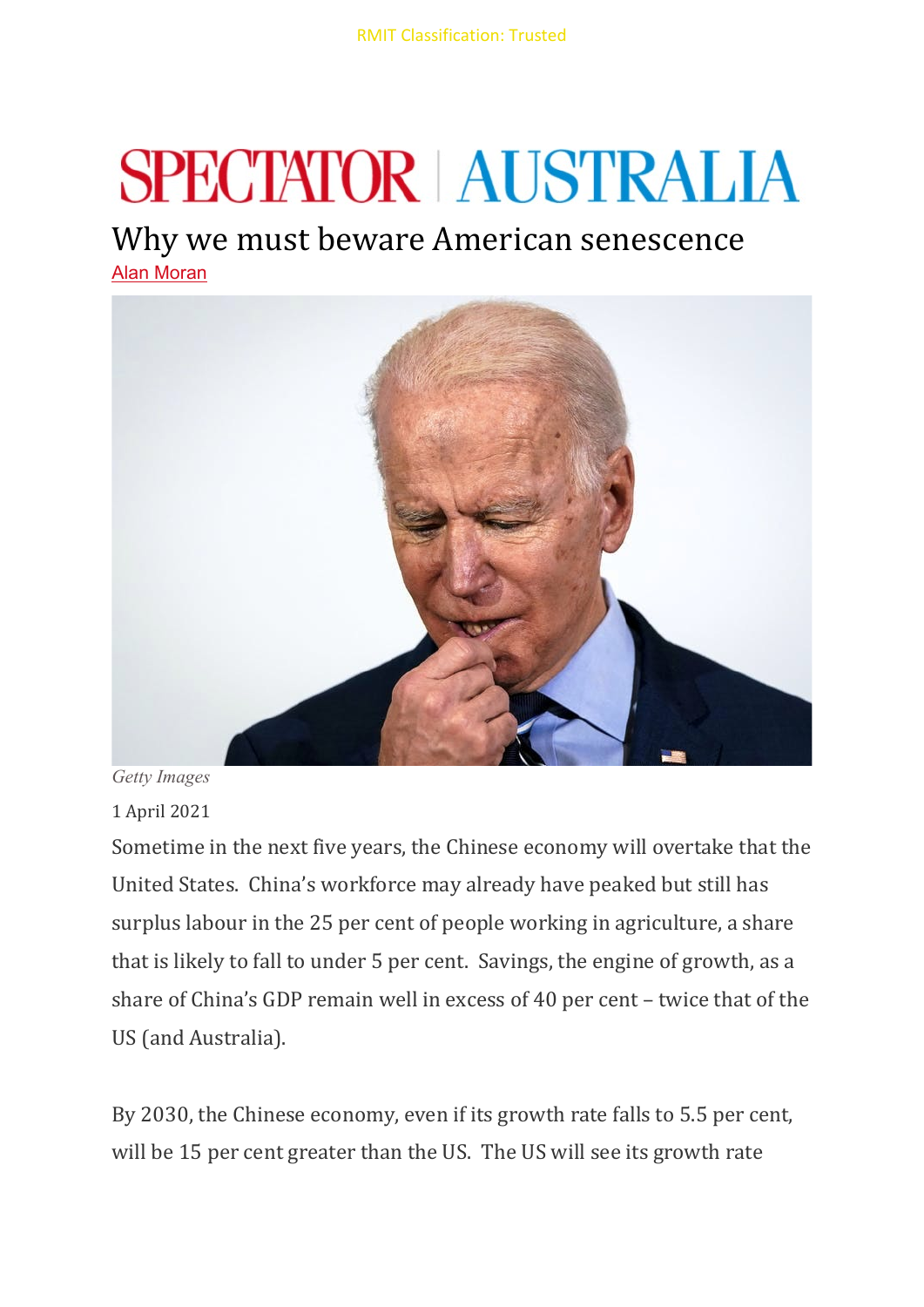## **SPECTATOR | AUSTRALIA**

## Why we must beware American senescence

[Alan Moran](https://spectator.com.au/author/alanmoran/)



*Getty Images*

1 April 2021

Sometime in the next five years, the Chinese economy will overtake that the United States. China's workforce may already have peaked but still has surplus labour in the 25 per cent of people working in agriculture, a share that is likely to fall to under 5 per cent. Savings, the engine of growth, as a share of China's GDP remain well in excess of 40 per cent – twice that of the US (and Australia).

By 2030, the Chinese economy, even if its growth rate falls to 5.5 per cent, will be 15 per cent greater than the US. The US will see its growth rate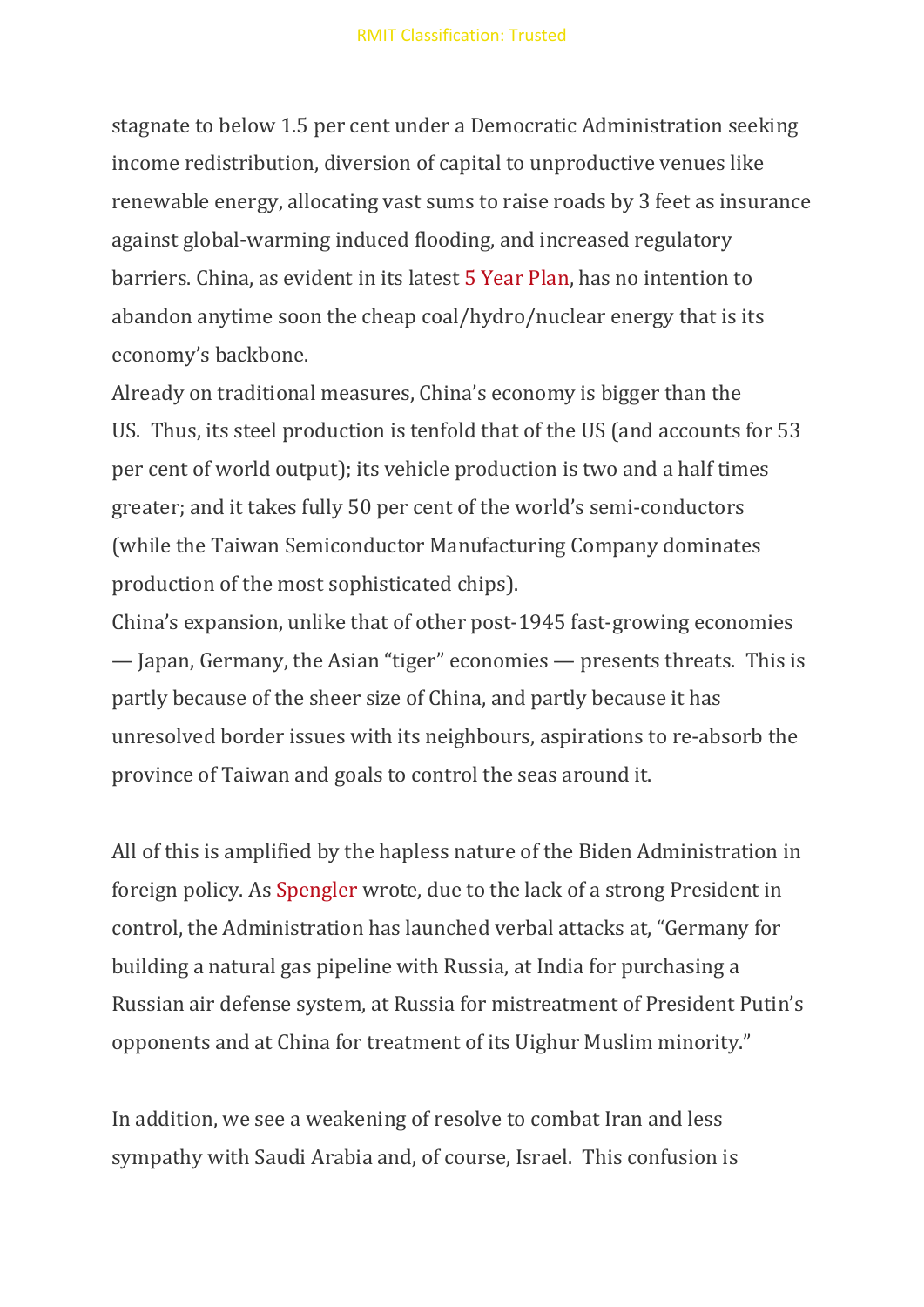stagnate to below 1.5 per cent under a Democratic Administration seeking income redistribution, diversion of capital to unproductive venues like renewable energy, allocating vast sums to raise roads by 3 feet as insurance against global-warming induced flooding, and increased regulatory barriers. China, as evident in its latest [5 Year Plan,](https://www.thejakartapost.com/news/2021/03/05/china-economic-blueprint-signals-more-coal-investment-.html) has no intention to abandon anytime soon the cheap coal/hydro/nuclear energy that is its economy's backbone.

Already on traditional measures, China's economy is bigger than the US. Thus, its steel production is tenfold that of the US (and accounts for 53 per cent of world output); its vehicle production is two and a half times greater; and it takes fully 50 per cent of the world's semi-conductors (while the Taiwan Semiconductor Manufacturing Company dominates production of the most sophisticated chips).

China's expansion, unlike that of other post-1945 fast-growing economies — Japan, Germany, the Asian "tiger" economies — presents threats. This is partly because of the sheer size of China, and partly because it has unresolved border issues with its neighbours, aspirations to re-absorb the province of Taiwan and goals to control the seas around it.

All of this is amplified by the hapless nature of the Biden Administration in foreign policy. As [Spengler](https://asiatimes.com/2021/03/bidens-firing-squad-stands-in-a-circle/) wrote, due to the lack of a strong President in control, the Administration has launched verbal attacks at, "Germany for building a natural gas pipeline with Russia, at India for purchasing a Russian air defense system, at Russia for mistreatment of President Putin's opponents and at China for treatment of its Uighur Muslim minority."

In addition, we see a weakening of resolve to combat Iran and less sympathy with Saudi Arabia and, of course, Israel. This confusion is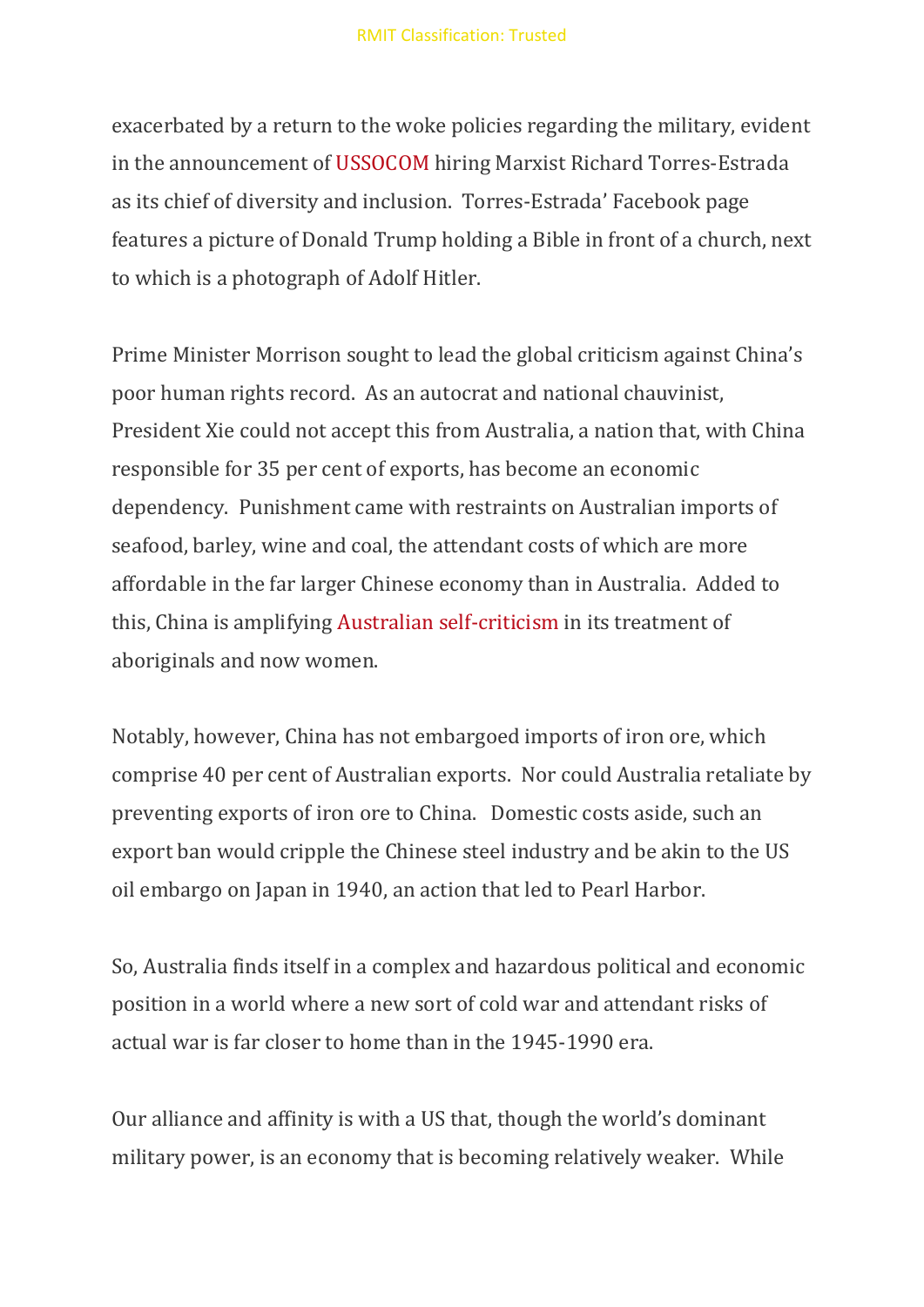exacerbated by a return to the woke policies regarding the military, evident in the announcement of [USSOCOM](https://www.theepochtimes.com/mkt_app/us-special-operations-command-not-aware-of-top-hires-anti-trump-posts_3752123.html) hiring Marxist Richard Torres-Estrada as its chief of diversity and inclusion. Torres-Estrada' Facebook page features a picture of Donald Trump holding a Bible in front of a church, next to which is a photograph of Adolf Hitler.

Prime Minister Morrison sought to lead the global criticism against China's poor human rights record. As an autocrat and national chauvinist, President Xie could not accept this from Australia, a nation that, with China responsible for 35 per cent of exports, has become an economic dependency. Punishment came with restraints on Australian imports of seafood, barley, wine and coal, the attendant costs of which are more affordable in the far larger Chinese economy than in Australia. Added to this, China is amplifying [Australian self-criticism](https://www.dailytelegraph.com.au/news/nsw/chinese-diplomat-in-brazil-slams-australia-over-parliamentary-sex-scandals/news-story/4f6c63ce14fe4c6de1efaf5f733c2708) in its treatment of aboriginals and now women.

Notably, however, China has not embargoed imports of iron ore, which comprise 40 per cent of Australian exports. Nor could Australia retaliate by preventing exports of iron ore to China. Domestic costs aside, such an export ban would cripple the Chinese steel industry and be akin to the US oil embargo on Japan in 1940, an action that led to Pearl Harbor.

So, Australia finds itself in a complex and hazardous political and economic position in a world where a new sort of cold war and attendant risks of actual war is far closer to home than in the 1945-1990 era.

Our alliance and affinity is with a US that, though the world's dominant military power, is an economy that is becoming relatively weaker. While